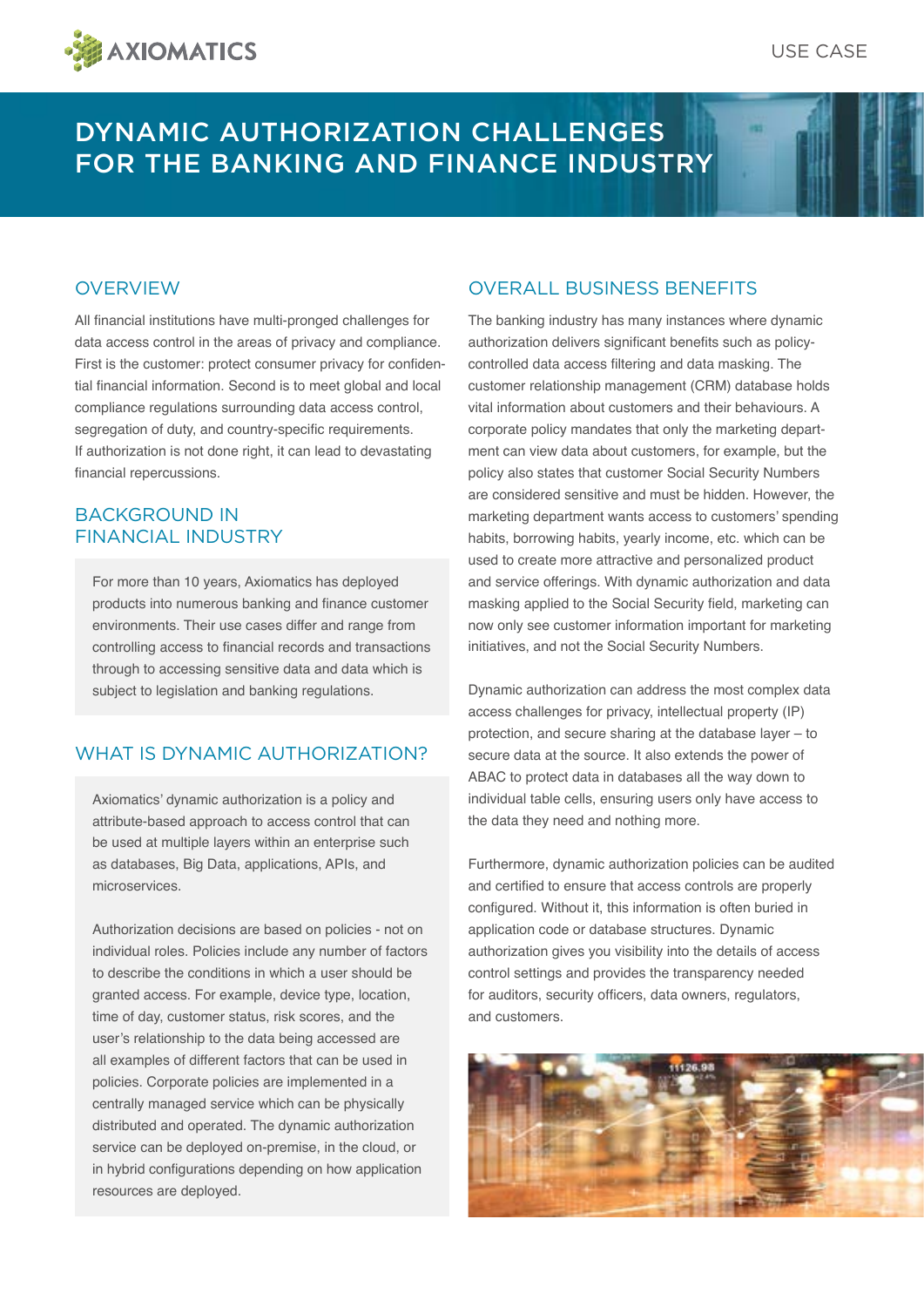

# DYNAMIC AUTHORIZATION CHALLENGES FOR THE BANKING AND FINANCE INDUSTRY

#### **OVERVIEW**

All financial institutions have multi-pronged challenges for data access control in the areas of privacy and compliance. First is the customer: protect consumer privacy for confidential financial information. Second is to meet global and local compliance regulations surrounding data access control, segregation of duty, and country-specific requirements. If authorization is not done right, it can lead to devastating financial repercussions.

#### BACKGROUND IN FINANCIAL INDUSTRY

For more than 10 years, Axiomatics has deployed products into numerous banking and finance customer environments. Their use cases differ and range from controlling access to financial records and transactions through to accessing sensitive data and data which is subject to legislation and banking regulations.

#### WHAT IS DYNAMIC AUTHORIZATION?

Axiomatics' dynamic authorization is a policy and attribute-based approach to access control that can be used at multiple layers within an enterprise such as databases, Big Data, applications, APIs, and microservices.

Authorization decisions are based on policies - not on individual roles. Policies include any number of factors to describe the conditions in which a user should be granted access. For example, device type, location, time of day, customer status, risk scores, and the user's relationship to the data being accessed are all examples of different factors that can be used in policies. Corporate policies are implemented in a centrally managed service which can be physically distributed and operated. The dynamic authorization service can be deployed on-premise, in the cloud, or in hybrid configurations depending on how application resources are deployed.

#### OVERALL BUSINESS BENEFITS

The banking industry has many instances where dynamic authorization delivers significant benefits such as policycontrolled data access filtering and data masking. The customer relationship management (CRM) database holds vital information about customers and their behaviours. A corporate policy mandates that only the marketing department can view data about customers, for example, but the policy also states that customer Social Security Numbers are considered sensitive and must be hidden. However, the marketing department wants access to customers' spending habits, borrowing habits, yearly income, etc. which can be used to create more attractive and personalized product and service offerings. With dynamic authorization and data masking applied to the Social Security field, marketing can now only see customer information important for marketing initiatives, and not the Social Security Numbers.

Dynamic authorization can address the most complex data access challenges for privacy, intellectual property (IP) protection, and secure sharing at the database layer – to secure data at the source. It also extends the power of ABAC to protect data in databases all the way down to individual table cells, ensuring users only have access to the data they need and nothing more.

Furthermore, dynamic authorization policies can be audited and certified to ensure that access controls are properly configured. Without it, this information is often buried in application code or database structures. Dynamic authorization gives you visibility into the details of access control settings and provides the transparency needed for auditors, security officers, data owners, regulators, and customers.

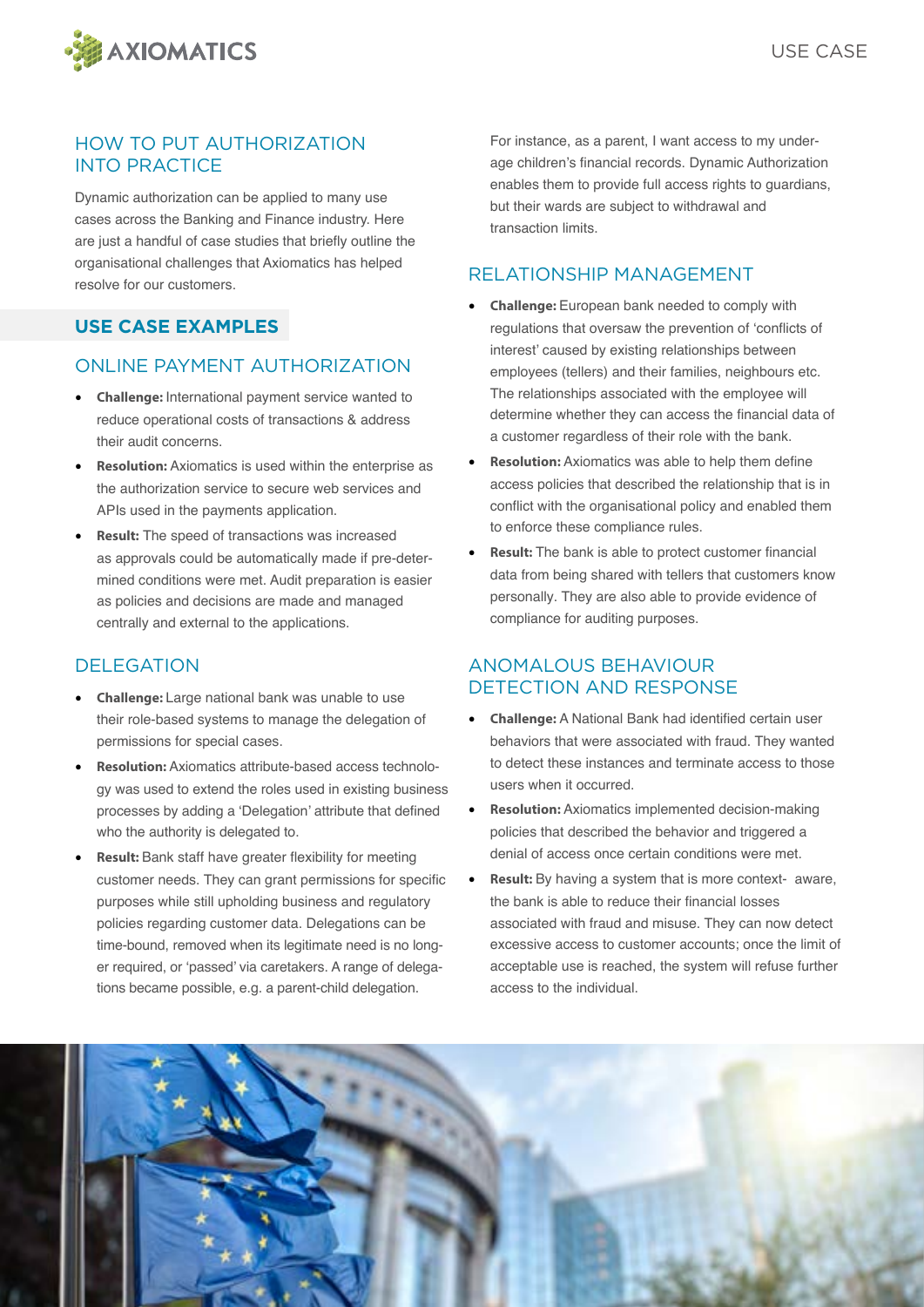

#### HOW TO PUT AUTHORIZATION INTO PRACTICE

Dynamic authorization can be applied to many use cases across the Banking and Finance industry. Here are just a handful of case studies that briefly outline the organisational challenges that Axiomatics has helped resolve for our customers.

#### **USE CASE EXAMPLES**

#### ONLINE PAYMENT AUTHORIZATION

- **Challenge:** International payment service wanted to reduce operational costs of transactions & address their audit concerns.
- **Resolution:** Axiomatics is used within the enterprise as the authorization service to secure web services and APIs used in the payments application.
- **Result:** The speed of transactions was increased as approvals could be automatically made if pre-determined conditions were met. Audit preparation is easier as policies and decisions are made and managed centrally and external to the applications.

#### DELEGATION

- **Challenge:** Large national bank was unable to use their role-based systems to manage the delegation of permissions for special cases.
- **Resolution:** Axiomatics attribute-based access technology was used to extend the roles used in existing business processes by adding a 'Delegation' attribute that defined who the authority is delegated to.
- **Result:** Bank staff have greater flexibility for meeting customer needs. They can grant permissions for specific purposes while still upholding business and regulatory policies regarding customer data. Delegations can be time-bound, removed when its legitimate need is no longer required, or 'passed' via caretakers. A range of delegations became possible, e.g. a parent-child delegation.

For instance, as a parent, I want access to my underage children's financial records. Dynamic Authorization enables them to provide full access rights to guardians, but their wards are subject to withdrawal and transaction limits.

### RELATIONSHIP MANAGEMENT

- **Challenge:** European bank needed to comply with regulations that oversaw the prevention of 'conflicts of interest' caused by existing relationships between employees (tellers) and their families, neighbours etc. The relationships associated with the employee will determine whether they can access the financial data of a customer regardless of their role with the bank.
- **Resolution:** Axiomatics was able to help them define access policies that described the relationship that is in conflict with the organisational policy and enabled them to enforce these compliance rules.
- **Result:** The bank is able to protect customer financial data from being shared with tellers that customers know personally. They are also able to provide evidence of compliance for auditing purposes.

#### ANOMALOUS BEHAVIOUR DETECTION AND RESPONSE

- **Challenge:** A National Bank had identified certain user behaviors that were associated with fraud. They wanted to detect these instances and terminate access to those users when it occurred.
- **Resolution:** Axiomatics implemented decision-making policies that described the behavior and triggered a denial of access once certain conditions were met.
- **Result:** By having a system that is more context- aware. the bank is able to reduce their financial losses associated with fraud and misuse. They can now detect excessive access to customer accounts; once the limit of acceptable use is reached, the system will refuse further access to the individual.